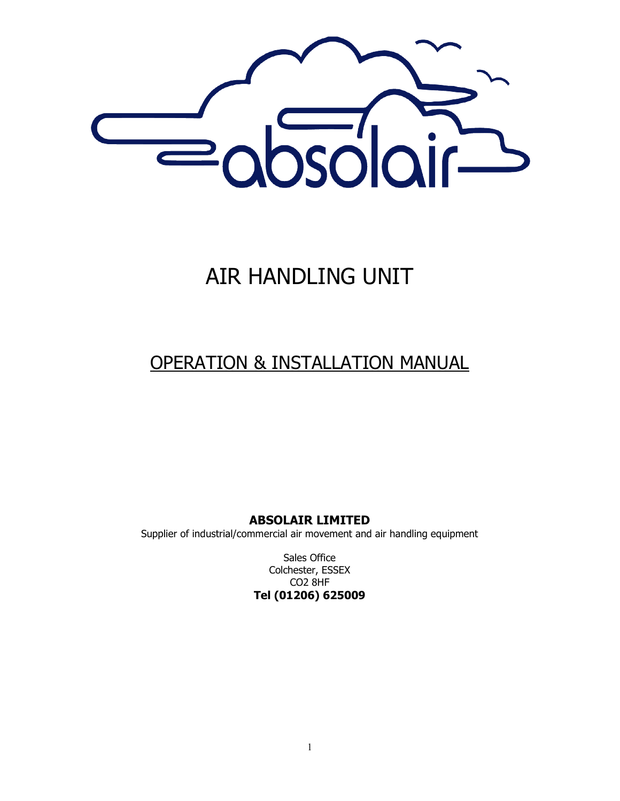

# AIR HANDLING UNIT

## OPERATION & INSTALLATION MANUAL

**ABSOLAIR LIMITED**

Supplier of industrial/commercial air movement and air handling equipment

Sales Office Colchester, ESSEX CO2 8HF **Tel (01206) 625009**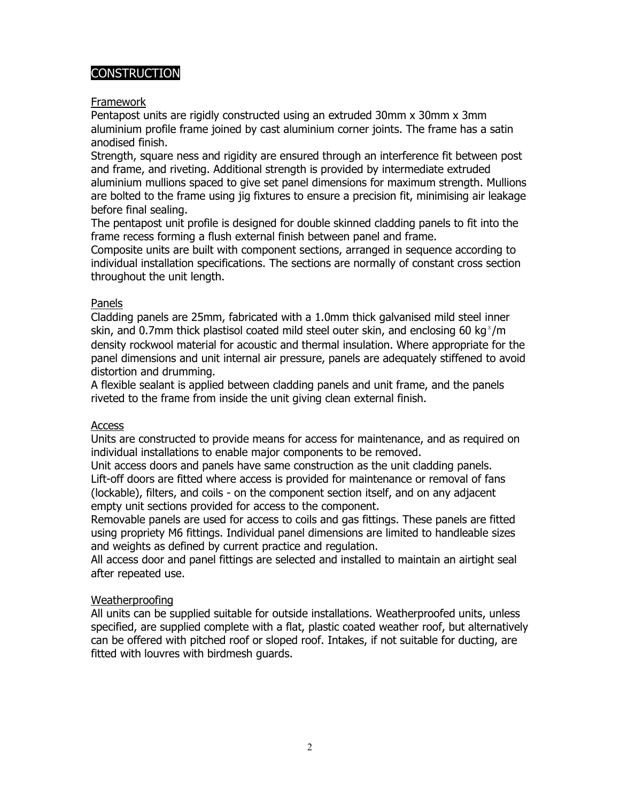## **CONSTRUCTION**

#### Framework

Pentapost units are rigidly constructed using an extruded 30mm x 30mm x 3mm aluminium profile frame joined by cast aluminium corner joints. The frame has a satin anodised finish.

Strength, square ness and rigidity are ensured through an interference fit between post and frame, and riveting. Additional strength is provided by intermediate extruded aluminium mullions spaced to give set panel dimensions for maximum strength. Mullions are bolted to the frame using jig fixtures to ensure a precision fit, minimising air leakage before final sealing.

The pentapost unit profile is designed for double skinned cladding panels to fit into the frame recess forming a flush external finish between panel and frame.

Composite units are built with component sections, arranged in sequence according to individual installation specifications. The sections are normally of constant cross section throughout the unit length.

#### Panels

Cladding panels are 25mm, fabricated with a 1.0mm thick galvanised mild steel inner skin, and 0.7mm thick plastisol coated mild steel outer skin, and enclosing 60 kg $^3$ /m density rockwool material for acoustic and thermal insulation. Where appropriate for the panel dimensions and unit internal air pressure, panels are adequately stiffened to avoid distortion and drumming.

A flexible sealant is applied between cladding panels and unit frame, and the panels riveted to the frame from inside the unit giving clean external finish.

#### Access

Units are constructed to provide means for access for maintenance, and as required on individual installations to enable major components to be removed.

Unit access doors and panels have same construction as the unit cladding panels. Lift-off doors are fitted where access is provided for maintenance or removal of fans (lockable), filters, and coils - on the component section itself, and on any adjacent empty unit sections provided for access to the component.

Removable panels are used for access to coils and gas fittings. These panels are fitted using propriety M6 fittings. Individual panel dimensions are limited to handleable sizes and weights as defined by current practice and regulation.

All access door and panel fittings are selected and installed to maintain an airtight seal after repeated use.

#### Weatherproofing

All units can be supplied suitable for outside installations. Weatherproofed units, unless specified, are supplied complete with a flat, plastic coated weather roof, but alternatively can be offered with pitched roof or sloped roof. Intakes, if not suitable for ducting, are fitted with louvres with birdmesh guards.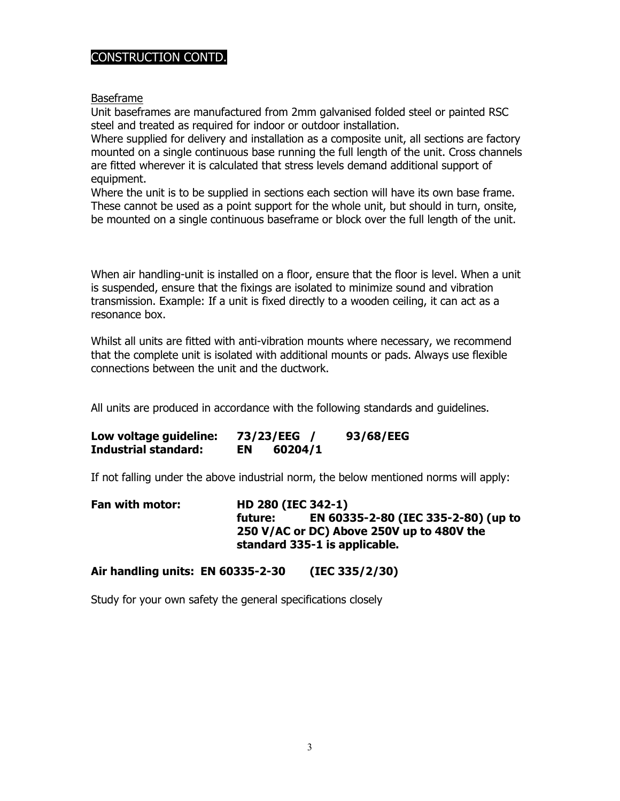## CONSTRUCTION CONTD.

Baseframe

Unit baseframes are manufactured from 2mm galvanised folded steel or painted RSC steel and treated as required for indoor or outdoor installation.

Where supplied for delivery and installation as a composite unit, all sections are factory mounted on a single continuous base running the full length of the unit. Cross channels are fitted wherever it is calculated that stress levels demand additional support of equipment.

Where the unit is to be supplied in sections each section will have its own base frame. These cannot be used as a point support for the whole unit, but should in turn, onsite, be mounted on a single continuous baseframe or block over the full length of the unit.

When air handling-unit is installed on a floor, ensure that the floor is level. When a unit is suspended, ensure that the fixings are isolated to minimize sound and vibration transmission. Example: If a unit is fixed directly to a wooden ceiling, it can act as a resonance box.

Whilst all units are fitted with anti-vibration mounts where necessary, we recommend that the complete unit is isolated with additional mounts or pads. Always use flexible connections between the unit and the ductwork.

All units are produced in accordance with the following standards and guidelines.

| Low voltage guideline:      |    | 73/23/EEG | 93/68/EEG |
|-----------------------------|----|-----------|-----------|
| <b>Industrial standard:</b> | EN | 60204/1   |           |

If not falling under the above industrial norm, the below mentioned norms will apply:

| Fan with motor: | <b>HD 280 (IEC 342-1)</b>                      |  |  |
|-----------------|------------------------------------------------|--|--|
|                 | EN 60335-2-80 (IEC 335-2-80) (up to<br>future: |  |  |
|                 | 250 V/AC or DC) Above 250V up to 480V the      |  |  |
|                 | standard 335-1 is applicable.                  |  |  |

#### **Air handling units: EN 60335-2-30 (IEC 335/2/30)**

Study for your own safety the general specifications closely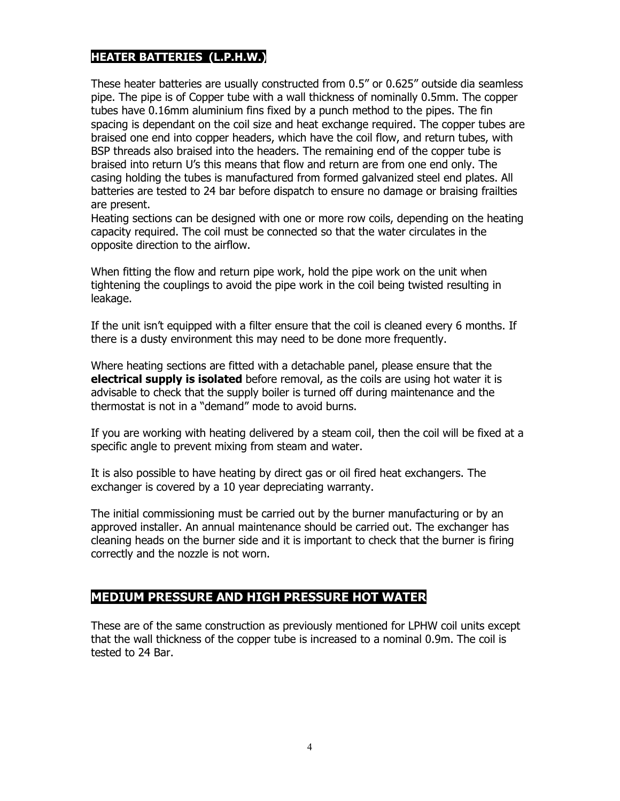## **HEATER BATTERIES (L.P.H.W.)**

These heater batteries are usually constructed from 0.5" or 0.625" outside dia seamless pipe. The pipe is of Copper tube with a wall thickness of nominally 0.5mm. The copper tubes have 0.16mm aluminium fins fixed by a punch method to the pipes. The fin spacing is dependant on the coil size and heat exchange required. The copper tubes are braised one end into copper headers, which have the coil flow, and return tubes, with BSP threads also braised into the headers. The remaining end of the copper tube is braised into return U's this means that flow and return are from one end only. The casing holding the tubes is manufactured from formed galvanized steel end plates. All batteries are tested to 24 bar before dispatch to ensure no damage or braising frailties are present.

Heating sections can be designed with one or more row coils, depending on the heating capacity required. The coil must be connected so that the water circulates in the opposite direction to the airflow.

When fitting the flow and return pipe work, hold the pipe work on the unit when tightening the couplings to avoid the pipe work in the coil being twisted resulting in leakage.

If the unit isn't equipped with a filter ensure that the coil is cleaned every 6 months. If there is a dusty environment this may need to be done more frequently.

Where heating sections are fitted with a detachable panel, please ensure that the **electrical supply is isolated** before removal, as the coils are using hot water it is advisable to check that the supply boiler is turned off during maintenance and the thermostat is not in a "demand" mode to avoid burns.

If you are working with heating delivered by a steam coil, then the coil will be fixed at a specific angle to prevent mixing from steam and water.

It is also possible to have heating by direct gas or oil fired heat exchangers. The exchanger is covered by a 10 year depreciating warranty.

The initial commissioning must be carried out by the burner manufacturing or by an approved installer. An annual maintenance should be carried out. The exchanger has cleaning heads on the burner side and it is important to check that the burner is firing correctly and the nozzle is not worn.

## **MEDIUM PRESSURE AND HIGH PRESSURE HOT WATER**

These are of the same construction as previously mentioned for LPHW coil units except that the wall thickness of the copper tube is increased to a nominal 0.9m. The coil is tested to 24 Bar.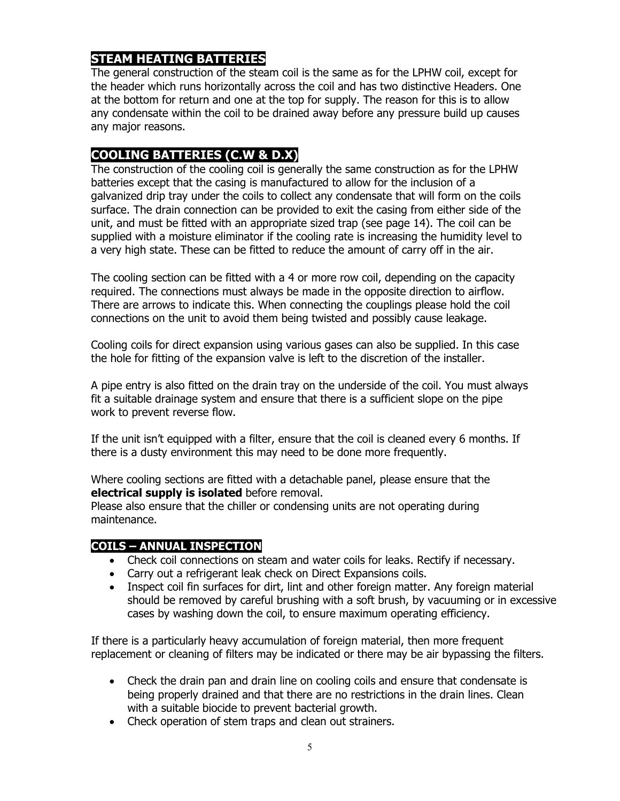## **STEAM HEATING BATTERIES**

The general construction of the steam coil is the same as for the LPHW coil, except for the header which runs horizontally across the coil and has two distinctive Headers. One at the bottom for return and one at the top for supply. The reason for this is to allow any condensate within the coil to be drained away before any pressure build up causes any major reasons.

## **COOLING BATTERIES (C.W & D.X)**

The construction of the cooling coil is generally the same construction as for the LPHW batteries except that the casing is manufactured to allow for the inclusion of a galvanized drip tray under the coils to collect any condensate that will form on the coils surface. The drain connection can be provided to exit the casing from either side of the unit, and must be fitted with an appropriate sized trap (see page 14). The coil can be supplied with a moisture eliminator if the cooling rate is increasing the humidity level to a very high state. These can be fitted to reduce the amount of carry off in the air.

The cooling section can be fitted with a 4 or more row coil, depending on the capacity required. The connections must always be made in the opposite direction to airflow. There are arrows to indicate this. When connecting the couplings please hold the coil connections on the unit to avoid them being twisted and possibly cause leakage.

Cooling coils for direct expansion using various gases can also be supplied. In this case the hole for fitting of the expansion valve is left to the discretion of the installer.

A pipe entry is also fitted on the drain tray on the underside of the coil. You must always fit a suitable drainage system and ensure that there is a sufficient slope on the pipe work to prevent reverse flow.

If the unit isn't equipped with a filter, ensure that the coil is cleaned every 6 months. If there is a dusty environment this may need to be done more frequently.

Where cooling sections are fitted with a detachable panel, please ensure that the **electrical supply is isolated** before removal.

Please also ensure that the chiller or condensing units are not operating during maintenance.

## **COILS – ANNUAL INSPECTION**

- Check coil connections on steam and water coils for leaks. Rectify if necessary.
- Carry out a refrigerant leak check on Direct Expansions coils.
- Inspect coil fin surfaces for dirt, lint and other foreign matter. Any foreign material should be removed by careful brushing with a soft brush, by vacuuming or in excessive cases by washing down the coil, to ensure maximum operating efficiency.

If there is a particularly heavy accumulation of foreign material, then more frequent replacement or cleaning of filters may be indicated or there may be air bypassing the filters.

- Check the drain pan and drain line on cooling coils and ensure that condensate is being properly drained and that there are no restrictions in the drain lines. Clean with a suitable biocide to prevent bacterial growth.
- Check operation of stem traps and clean out strainers.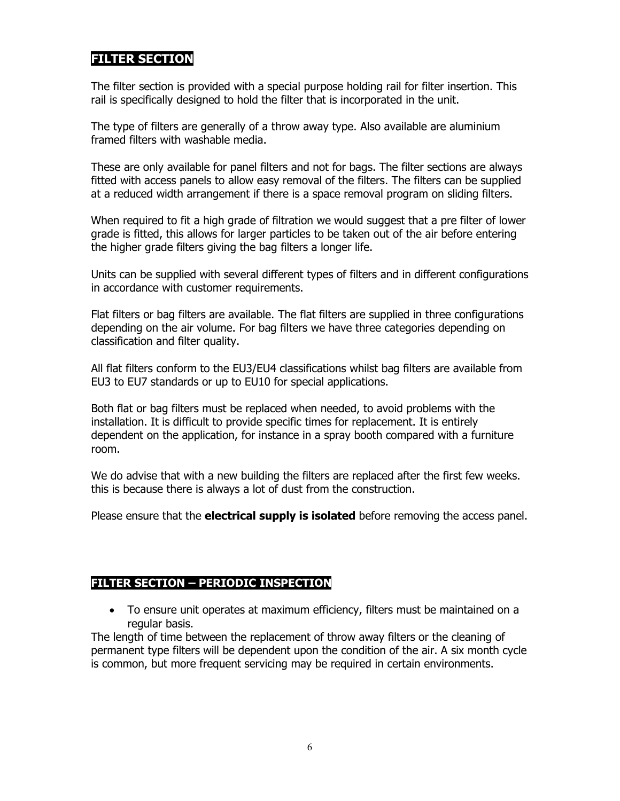## **FILTER SECTION**

The filter section is provided with a special purpose holding rail for filter insertion. This rail is specifically designed to hold the filter that is incorporated in the unit.

The type of filters are generally of a throw away type. Also available are aluminium framed filters with washable media.

These are only available for panel filters and not for bags. The filter sections are always fitted with access panels to allow easy removal of the filters. The filters can be supplied at a reduced width arrangement if there is a space removal program on sliding filters.

When required to fit a high grade of filtration we would suggest that a pre filter of lower grade is fitted, this allows for larger particles to be taken out of the air before entering the higher grade filters giving the bag filters a longer life.

Units can be supplied with several different types of filters and in different configurations in accordance with customer requirements.

Flat filters or bag filters are available. The flat filters are supplied in three configurations depending on the air volume. For bag filters we have three categories depending on classification and filter quality.

All flat filters conform to the EU3/EU4 classifications whilst bag filters are available from EU3 to EU7 standards or up to EU10 for special applications.

Both flat or bag filters must be replaced when needed, to avoid problems with the installation. It is difficult to provide specific times for replacement. It is entirely dependent on the application, for instance in a spray booth compared with a furniture room.

We do advise that with a new building the filters are replaced after the first few weeks. this is because there is always a lot of dust from the construction.

Please ensure that the **electrical supply is isolated** before removing the access panel.

#### **FILTER SECTION – PERIODIC INSPECTION**

• To ensure unit operates at maximum efficiency, filters must be maintained on a regular basis.

The length of time between the replacement of throw away filters or the cleaning of permanent type filters will be dependent upon the condition of the air. A six month cycle is common, but more frequent servicing may be required in certain environments.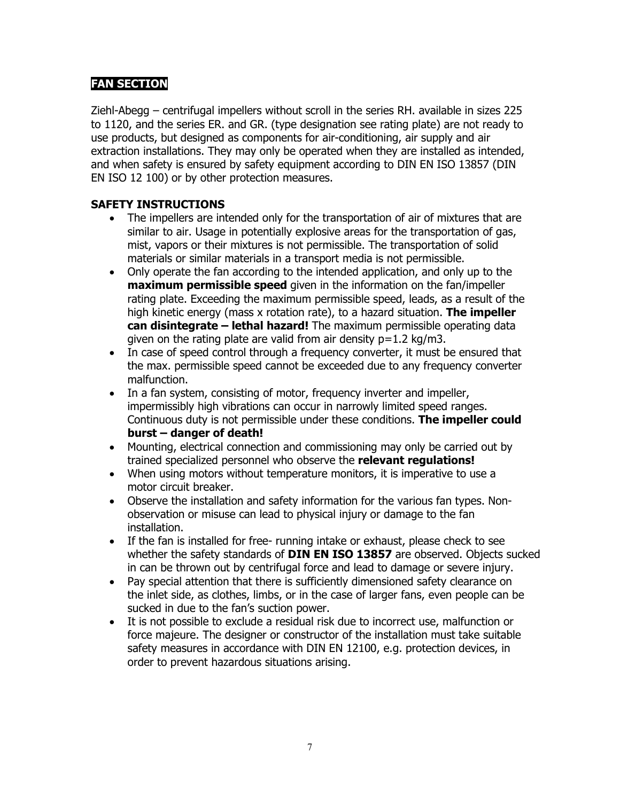## **FAN SECTION**

Ziehl-Abegg – centrifugal impellers without scroll in the series RH. available in sizes 225 to 1120, and the series ER. and GR. (type designation see rating plate) are not ready to use products, but designed as components for air-conditioning, air supply and air extraction installations. They may only be operated when they are installed as intended, and when safety is ensured by safety equipment according to DIN EN ISO 13857 (DIN EN ISO 12 100) or by other protection measures.

#### **SAFETY INSTRUCTIONS**

- The impellers are intended only for the transportation of air of mixtures that are similar to air. Usage in potentially explosive areas for the transportation of gas, mist, vapors or their mixtures is not permissible. The transportation of solid materials or similar materials in a transport media is not permissible.
- Only operate the fan according to the intended application, and only up to the **maximum permissible speed** given in the information on the fan/impeller rating plate. Exceeding the maximum permissible speed, leads, as a result of the high kinetic energy (mass x rotation rate), to a hazard situation. **The impeller can disintegrate – lethal hazard!** The maximum permissible operating data given on the rating plate are valid from air density  $p=1.2$  kg/m3.
- In case of speed control through a frequency converter, it must be ensured that the max. permissible speed cannot be exceeded due to any frequency converter malfunction.
- In a fan system, consisting of motor, frequency inverter and impeller, impermissibly high vibrations can occur in narrowly limited speed ranges. Continuous duty is not permissible under these conditions. **The impeller could burst – danger of death!**
- Mounting, electrical connection and commissioning may only be carried out by trained specialized personnel who observe the **relevant regulations!**
- When using motors without temperature monitors, it is imperative to use a motor circuit breaker.
- Observe the installation and safety information for the various fan types. Nonobservation or misuse can lead to physical injury or damage to the fan installation.
- If the fan is installed for free- running intake or exhaust, please check to see whether the safety standards of **DIN EN ISO 13857** are observed. Objects sucked in can be thrown out by centrifugal force and lead to damage or severe injury.
- Pay special attention that there is sufficiently dimensioned safety clearance on the inlet side, as clothes, limbs, or in the case of larger fans, even people can be sucked in due to the fan's suction power.
- It is not possible to exclude a residual risk due to incorrect use, malfunction or force majeure. The designer or constructor of the installation must take suitable safety measures in accordance with DIN EN 12100, e.g. protection devices, in order to prevent hazardous situations arising.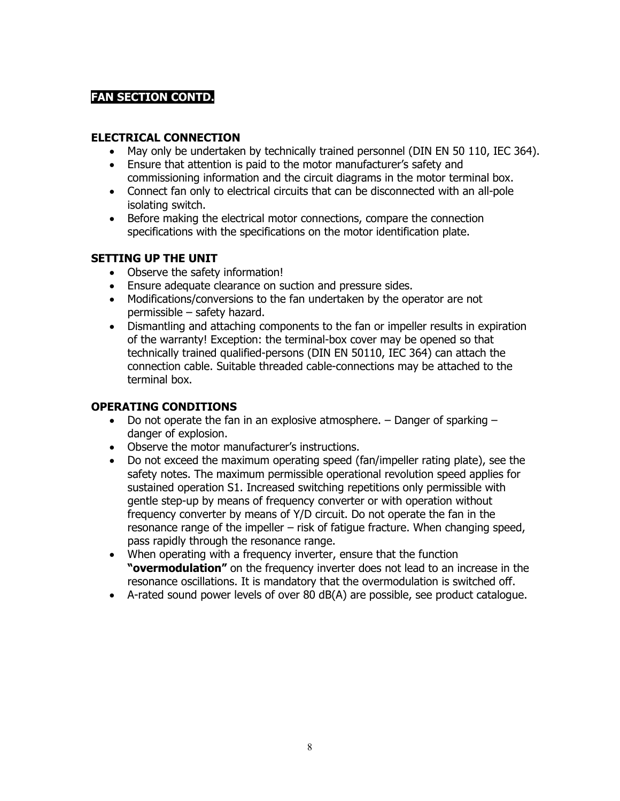## **FAN SECTION CONTD.**

## **ELECTRICAL CONNECTION**

- May only be undertaken by technically trained personnel (DIN EN 50 110, IEC 364).
- Ensure that attention is paid to the motor manufacturer's safety and commissioning information and the circuit diagrams in the motor terminal box.
- Connect fan only to electrical circuits that can be disconnected with an all-pole isolating switch.
- Before making the electrical motor connections, compare the connection specifications with the specifications on the motor identification plate.

#### **SETTING UP THE UNIT**

- Observe the safety information!
- Ensure adequate clearance on suction and pressure sides.
- Modifications/conversions to the fan undertaken by the operator are not permissible – safety hazard.
- Dismantling and attaching components to the fan or impeller results in expiration of the warranty! Exception: the terminal-box cover may be opened so that technically trained qualified-persons (DIN EN 50110, IEC 364) can attach the connection cable. Suitable threaded cable-connections may be attached to the terminal box.

## **OPERATING CONDITIONS**

- Do not operate the fan in an explosive atmosphere.  $-$  Danger of sparking  $$ danger of explosion.
- Observe the motor manufacturer's instructions.
- Do not exceed the maximum operating speed (fan/impeller rating plate), see the safety notes. The maximum permissible operational revolution speed applies for sustained operation S1. Increased switching repetitions only permissible with gentle step-up by means of frequency converter or with operation without frequency converter by means of Y/D circuit. Do not operate the fan in the resonance range of the impeller – risk of fatigue fracture. When changing speed, pass rapidly through the resonance range.
- When operating with a frequency inverter, ensure that the function **"overmodulation"** on the frequency inverter does not lead to an increase in the resonance oscillations. It is mandatory that the overmodulation is switched off.
- A-rated sound power levels of over 80 dB(A) are possible, see product catalogue.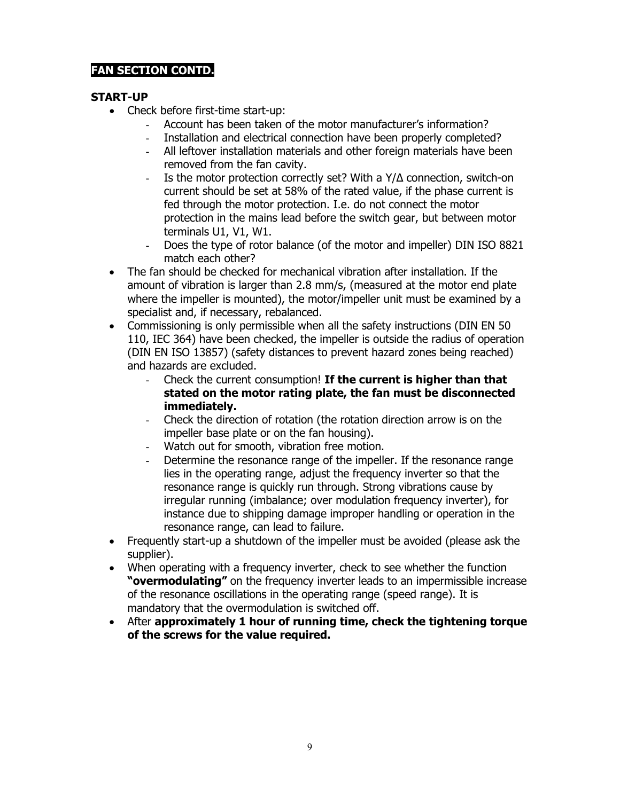## **FAN SECTION CONTD.**

#### **START-UP**

- Check before first-time start-up:
	- Account has been taken of the motor manufacturer's information?
	- Installation and electrical connection have been properly completed?
	- All leftover installation materials and other foreign materials have been removed from the fan cavity.
	- Is the motor protection correctly set? With a Y/Δ connection, switch-on current should be set at 58% of the rated value, if the phase current is fed through the motor protection. I.e. do not connect the motor protection in the mains lead before the switch gear, but between motor terminals U1, V1, W1.
	- Does the type of rotor balance (of the motor and impeller) DIN ISO 8821 match each other?
- The fan should be checked for mechanical vibration after installation. If the amount of vibration is larger than 2.8 mm/s, (measured at the motor end plate where the impeller is mounted), the motor/impeller unit must be examined by a specialist and, if necessary, rebalanced.
- Commissioning is only permissible when all the safety instructions (DIN EN 50 110, IEC 364) have been checked, the impeller is outside the radius of operation (DIN EN ISO 13857) (safety distances to prevent hazard zones being reached) and hazards are excluded.
	- Check the current consumption! **If the current is higher than that stated on the motor rating plate, the fan must be disconnected immediately.**
	- Check the direction of rotation (the rotation direction arrow is on the impeller base plate or on the fan housing).
	- Watch out for smooth, vibration free motion.
	- Determine the resonance range of the impeller. If the resonance range lies in the operating range, adjust the frequency inverter so that the resonance range is quickly run through. Strong vibrations cause by irregular running (imbalance; over modulation frequency inverter), for instance due to shipping damage improper handling or operation in the resonance range, can lead to failure.
- Frequently start-up a shutdown of the impeller must be avoided (please ask the supplier).
- When operating with a frequency inverter, check to see whether the function **"overmodulating"** on the frequency inverter leads to an impermissible increase of the resonance oscillations in the operating range (speed range). It is mandatory that the overmodulation is switched off.
- After **approximately 1 hour of running time, check the tightening torque of the screws for the value required.**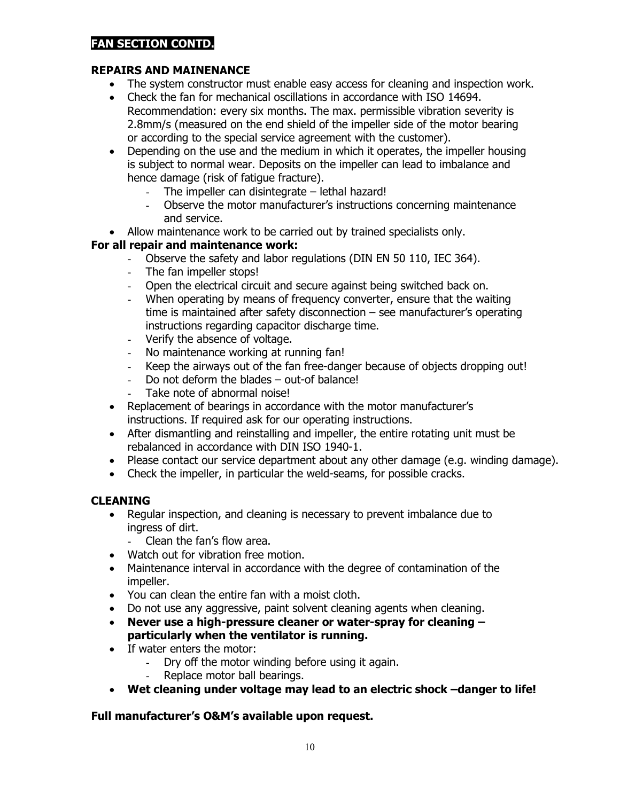## **FAN SECTION CONTD.**

## **REPAIRS AND MAINENANCE**

- The system constructor must enable easy access for cleaning and inspection work.
- Check the fan for mechanical oscillations in accordance with ISO 14694. Recommendation: every six months. The max. permissible vibration severity is 2.8mm/s (measured on the end shield of the impeller side of the motor bearing or according to the special service agreement with the customer).
- Depending on the use and the medium in which it operates, the impeller housing is subject to normal wear. Deposits on the impeller can lead to imbalance and hence damage (risk of fatigue fracture).
	- The impeller can disintegrate  $-$  lethal hazard!
	- Observe the motor manufacturer's instructions concerning maintenance and service.
- Allow maintenance work to be carried out by trained specialists only.

## **For all repair and maintenance work:**

- Observe the safety and labor regulations (DIN EN 50 110, IEC 364).<br>- The fan impeller stops!
- The fan impeller stops!
- Open the electrical circuit and secure against being switched back on.
- When operating by means of frequency converter, ensure that the waiting time is maintained after safety disconnection – see manufacturer's operating instructions regarding capacitor discharge time.
- Verify the absence of voltage.<br>- No maintenance working at ru
- No maintenance working at running fan!
- Keep the airways out of the fan free-danger because of objects dropping out!<br>- Do not deform the blades out-of balance!
- Do not deform the blades out-of balance!
- Take note of abnormal noise!
- Replacement of bearings in accordance with the motor manufacturer's instructions. If required ask for our operating instructions.
- After dismantling and reinstalling and impeller, the entire rotating unit must be rebalanced in accordance with DIN ISO 1940-1.
- Please contact our service department about any other damage (e.g. winding damage).
- Check the impeller, in particular the weld-seams, for possible cracks.

## **CLEANING**

- Regular inspection, and cleaning is necessary to prevent imbalance due to ingress of dirt.
	- Clean the fan's flow area.
- Watch out for vibration free motion.
- Maintenance interval in accordance with the degree of contamination of the impeller.
- You can clean the entire fan with a moist cloth.
- Do not use any aggressive, paint solvent cleaning agents when cleaning.
- **Never use a high-pressure cleaner or water-spray for cleaning – particularly when the ventilator is running.**
- If water enters the motor:
	- Dry off the motor winding before using it again.
		- Replace motor ball bearings.
- **Wet cleaning under voltage may lead to an electric shock –danger to life!**

## **Full manufacturer's O&M's available upon request.**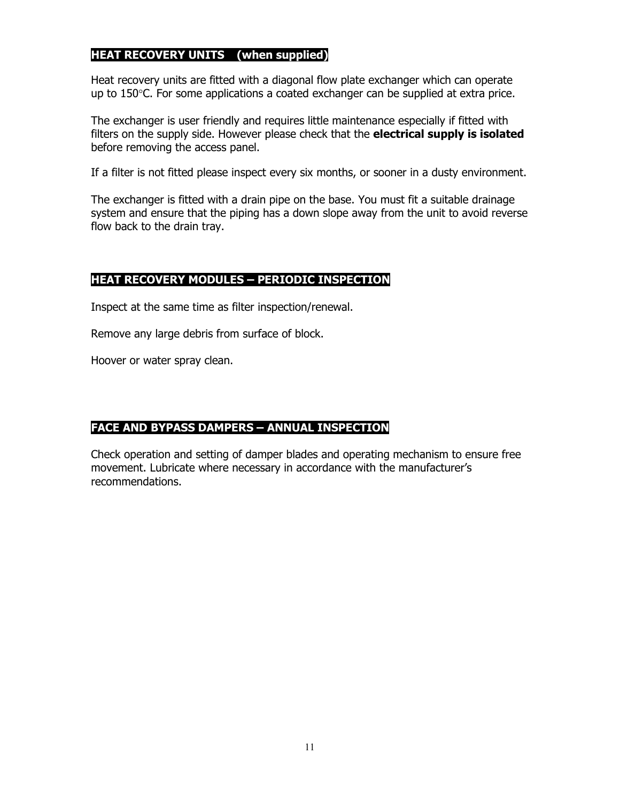## **HEAT RECOVERY UNITS (when supplied)**

Heat recovery units are fitted with a diagonal flow plate exchanger which can operate up to  $150^{\circ}$ C. For some applications a coated exchanger can be supplied at extra price.

The exchanger is user friendly and requires little maintenance especially if fitted with filters on the supply side. However please check that the **electrical supply is isolated**  before removing the access panel.

If a filter is not fitted please inspect every six months, or sooner in a dusty environment.

The exchanger is fitted with a drain pipe on the base. You must fit a suitable drainage system and ensure that the piping has a down slope away from the unit to avoid reverse flow back to the drain tray.

## **HEAT RECOVERY MODULES – PERIODIC INSPECTION**

Inspect at the same time as filter inspection/renewal.

Remove any large debris from surface of block.

Hoover or water spray clean.

## **FACE AND BYPASS DAMPERS – ANNUAL INSPECTION**

Check operation and setting of damper blades and operating mechanism to ensure free movement. Lubricate where necessary in accordance with the manufacturer's recommendations.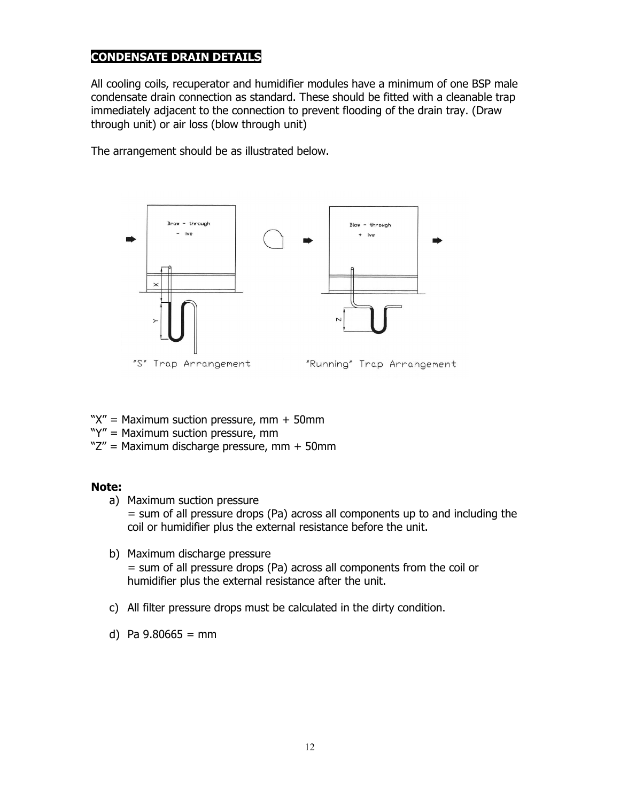## **CONDENSATE DRAIN DETAILS**

All cooling coils, recuperator and humidifier modules have a minimum of one BSP male condensate drain connection as standard. These should be fitted with a cleanable trap immediately adjacent to the connection to prevent flooding of the drain tray. (Draw through unit) or air loss (blow through unit)

The arrangement should be as illustrated below.



- " $X''$  = Maximum suction pressure, mm + 50mm
- "Y" = Maximum suction pressure, mm
- "Z" = Maximum discharge pressure, mm + 50mm

#### **Note:**

- a) Maximum suction pressure = sum of all pressure drops (Pa) across all components up to and including the coil or humidifier plus the external resistance before the unit.
- b) Maximum discharge pressure = sum of all pressure drops (Pa) across all components from the coil or humidifier plus the external resistance after the unit.
- c) All filter pressure drops must be calculated in the dirty condition.
- d) Pa  $9.80665 = mm$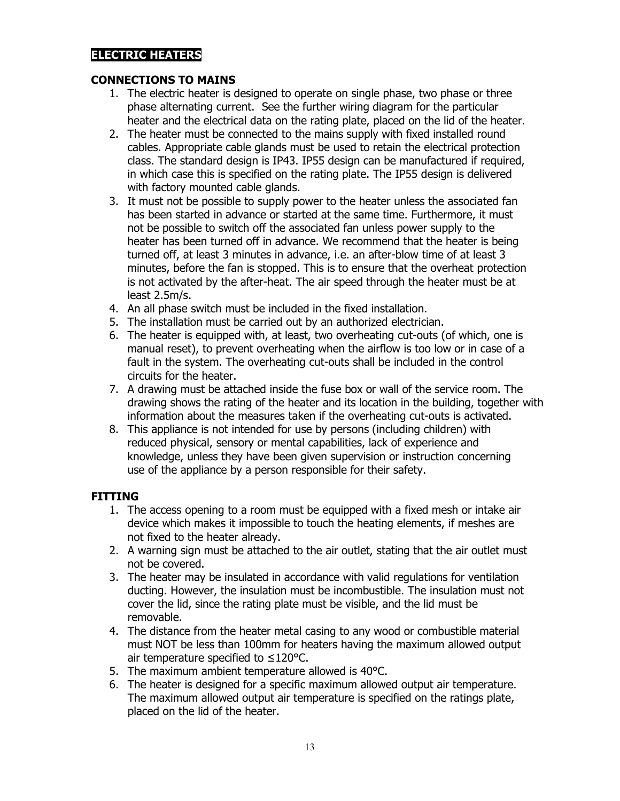## **ELECTRIC HEATERS**

#### **CONNECTIONS TO MAINS**

- 1. The electric heater is designed to operate on single phase, two phase or three phase alternating current. See the further wiring diagram for the particular heater and the electrical data on the rating plate, placed on the lid of the heater.
- 2. The heater must be connected to the mains supply with fixed installed round cables. Appropriate cable glands must be used to retain the electrical protection class. The standard design is IP43. IP55 design can be manufactured if required, in which case this is specified on the rating plate. The IP55 design is delivered with factory mounted cable glands.
- 3. It must not be possible to supply power to the heater unless the associated fan has been started in advance or started at the same time. Furthermore, it must not be possible to switch off the associated fan unless power supply to the heater has been turned off in advance. We recommend that the heater is being turned off, at least 3 minutes in advance, i.e. an after-blow time of at least 3 minutes, before the fan is stopped. This is to ensure that the overheat protection is not activated by the after-heat. The air speed through the heater must be at least 2.5m/s.
- 4. An all phase switch must be included in the fixed installation.
- 5. The installation must be carried out by an authorized electrician.
- 6. The heater is equipped with, at least, two overheating cut-outs (of which, one is manual reset), to prevent overheating when the airflow is too low or in case of a fault in the system. The overheating cut-outs shall be included in the control circuits for the heater.
- 7. A drawing must be attached inside the fuse box or wall of the service room. The drawing shows the rating of the heater and its location in the building, together with information about the measures taken if the overheating cut-outs is activated.
- 8. This appliance is not intended for use by persons (including children) with reduced physical, sensory or mental capabilities, lack of experience and knowledge, unless they have been given supervision or instruction concerning use of the appliance by a person responsible for their safety.

## **FITTING**

- 1. The access opening to a room must be equipped with a fixed mesh or intake air device which makes it impossible to touch the heating elements, if meshes are not fixed to the heater already.
- 2. A warning sign must be attached to the air outlet, stating that the air outlet must not be covered.
- 3. The heater may be insulated in accordance with valid regulations for ventilation ducting. However, the insulation must be incombustible. The insulation must not cover the lid, since the rating plate must be visible, and the lid must be removable.
- 4. The distance from the heater metal casing to any wood or combustible material must NOT be less than 100mm for heaters having the maximum allowed output air temperature specified to ≤120°C.
- 5. The maximum ambient temperature allowed is 40°C.
- 6. The heater is designed for a specific maximum allowed output air temperature. The maximum allowed output air temperature is specified on the ratings plate, placed on the lid of the heater.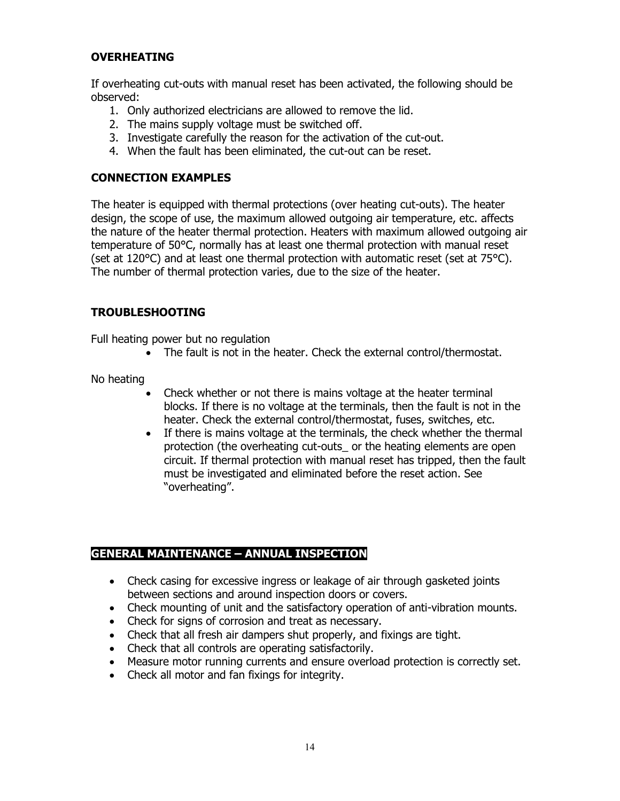## **OVERHEATING**

If overheating cut-outs with manual reset has been activated, the following should be observed:

- 1. Only authorized electricians are allowed to remove the lid.
- 2. The mains supply voltage must be switched off.
- 3. Investigate carefully the reason for the activation of the cut-out.
- 4. When the fault has been eliminated, the cut-out can be reset.

#### **CONNECTION EXAMPLES**

The heater is equipped with thermal protections (over heating cut-outs). The heater design, the scope of use, the maximum allowed outgoing air temperature, etc. affects the nature of the heater thermal protection. Heaters with maximum allowed outgoing air temperature of 50°C, normally has at least one thermal protection with manual reset (set at 120 $^{\circ}$ C) and at least one thermal protection with automatic reset (set at 75 $^{\circ}$ C). The number of thermal protection varies, due to the size of the heater.

## **TROUBLESHOOTING**

Full heating power but no regulation

• The fault is not in the heater. Check the external control/thermostat.

No heating

- Check whether or not there is mains voltage at the heater terminal blocks. If there is no voltage at the terminals, then the fault is not in the heater. Check the external control/thermostat, fuses, switches, etc.
- If there is mains voltage at the terminals, the check whether the thermal protection (the overheating cut-outs\_ or the heating elements are open circuit. If thermal protection with manual reset has tripped, then the fault must be investigated and eliminated before the reset action. See "overheating".

## **GENERAL MAINTENANCE – ANNUAL INSPECTION**

- Check casing for excessive ingress or leakage of air through gasketed joints between sections and around inspection doors or covers.
- Check mounting of unit and the satisfactory operation of anti-vibration mounts.
- Check for signs of corrosion and treat as necessary.
- Check that all fresh air dampers shut properly, and fixings are tight.
- Check that all controls are operating satisfactorily.
- Measure motor running currents and ensure overload protection is correctly set.
- Check all motor and fan fixings for integrity.